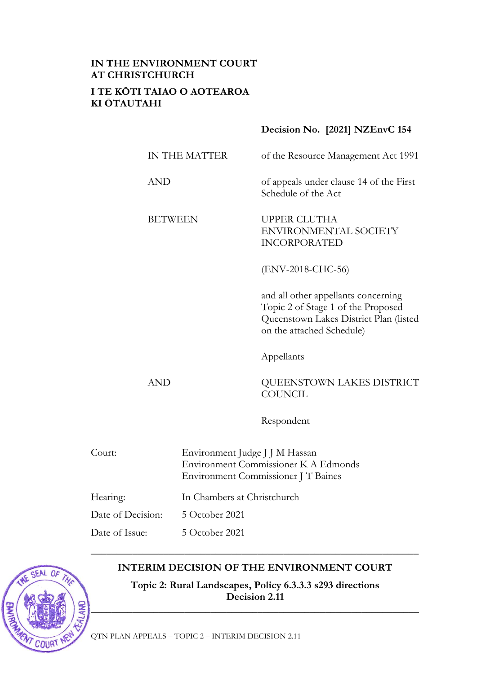# **IN THE ENVIRONMENT COURT AT CHRISTCHURCH I TE KŌTI TAIAO O AOTEAROA KI ŌTAUTAHI**

**Decision No. [2021] NZEnvC 154**

| <b>AND</b><br>of appeals under clause 14 of the First<br>Schedule of the Act<br><b>BETWEEN</b><br>UPPER CLUTHA<br>ENVIRONMENTAL SOCIETY<br><b>INCORPORATED</b><br>(ENV-2018-CHC-56)<br>and all other appellants concerning<br>Topic 2 of Stage 1 of the Proposed<br>Queenstown Lakes District Plan (listed<br>on the attached Schedule)<br>Appellants<br><b>AND</b><br>QUEENSTOWN LAKES DISTRICT<br><b>COUNCIL</b> |  |  |  |  |
|--------------------------------------------------------------------------------------------------------------------------------------------------------------------------------------------------------------------------------------------------------------------------------------------------------------------------------------------------------------------------------------------------------------------|--|--|--|--|
|                                                                                                                                                                                                                                                                                                                                                                                                                    |  |  |  |  |
|                                                                                                                                                                                                                                                                                                                                                                                                                    |  |  |  |  |
|                                                                                                                                                                                                                                                                                                                                                                                                                    |  |  |  |  |
|                                                                                                                                                                                                                                                                                                                                                                                                                    |  |  |  |  |
|                                                                                                                                                                                                                                                                                                                                                                                                                    |  |  |  |  |
|                                                                                                                                                                                                                                                                                                                                                                                                                    |  |  |  |  |
| Respondent                                                                                                                                                                                                                                                                                                                                                                                                         |  |  |  |  |
| Court:<br>Environment Judge J J M Hassan<br>Environment Commissioner K A Edmonds<br>Environment Commissioner J T Baines                                                                                                                                                                                                                                                                                            |  |  |  |  |
| In Chambers at Christchurch<br>Hearing:                                                                                                                                                                                                                                                                                                                                                                            |  |  |  |  |
| Date of Decision:<br>5 October 2021                                                                                                                                                                                                                                                                                                                                                                                |  |  |  |  |
| Date of Issue:<br>5 October 2021                                                                                                                                                                                                                                                                                                                                                                                   |  |  |  |  |

# **INTERIM DECISION OF THE ENVIRONMENT COURT**

**Topic 2: Rural Landscapes, Policy 6.3.3.3 s293 directions Decision 2.11**

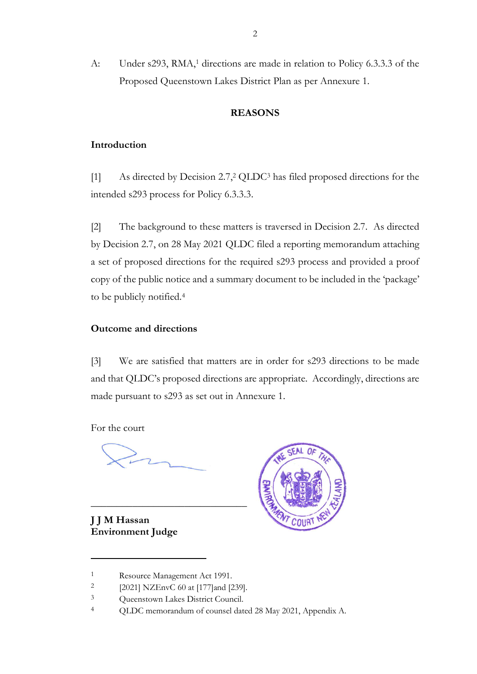A: Under s293, RMA, <sup>1</sup> directions are made in relation to Policy 6.3.3.3 of the Proposed Queenstown Lakes District Plan as per Annexure 1.

# **REASONS**

# **Introduction**

[1] As directed by Decision 2.7, <sup>2</sup> QLDC<sup>3</sup> has filed proposed directions for the intended s293 process for Policy 6.3.3.3.

[2] The background to these matters is traversed in Decision 2.7. As directed by Decision 2.7, on 28 May 2021 QLDC filed a reporting memorandum attaching a set of proposed directions for the required s293 process and provided a proof copy of the public notice and a summary document to be included in the 'package' to be publicly notified.<sup>4</sup>

# **Outcome and directions**

[3] We are satisfied that matters are in order for s293 directions to be made and that QLDC's proposed directions are appropriate. Accordingly, directions are made pursuant to s293 as set out in Annexure 1.

For the court

**J J M Hassan Environment Judge**



\_\_\_\_\_\_\_\_\_\_\_\_\_\_\_\_\_\_\_\_\_\_\_\_\_\_\_\_\_\_

<sup>1</sup> Resource Management Act 1991.

<sup>2</sup> [2021] NZEnvC 60 at [177]and [239].

<sup>&</sup>lt;sup>3</sup> Queenstown Lakes District Council.

<sup>4</sup> QLDC memorandum of counsel dated 28 May 2021, Appendix A.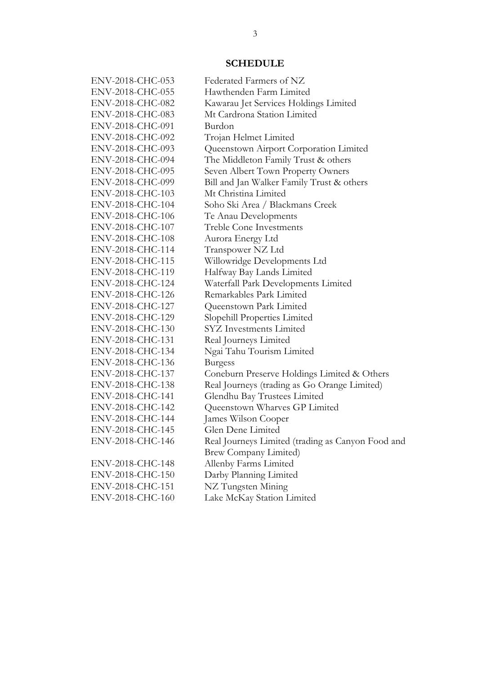# **SCHEDULE**

| ENV-2018-CHC-053 | Federated Farmers of NZ                           |
|------------------|---------------------------------------------------|
| ENV-2018-CHC-055 | Hawthenden Farm Limited                           |
| ENV-2018-CHC-082 | Kawarau Jet Services Holdings Limited             |
| ENV-2018-CHC-083 | Mt Cardrona Station Limited                       |
| ENV-2018-CHC-091 | Burdon                                            |
| ENV-2018-CHC-092 | Trojan Helmet Limited                             |
| ENV-2018-CHC-093 | Queenstown Airport Corporation Limited            |
| ENV-2018-CHC-094 | The Middleton Family Trust & others               |
| ENV-2018-CHC-095 | Seven Albert Town Property Owners                 |
| ENV-2018-CHC-099 | Bill and Jan Walker Family Trust & others         |
| ENV-2018-CHC-103 | Mt Christina Limited                              |
| ENV-2018-CHC-104 | Soho Ski Area / Blackmans Creek                   |
| ENV-2018-CHC-106 | Te Anau Developments                              |
| ENV-2018-CHC-107 | <b>Treble Cone Investments</b>                    |
| ENV-2018-CHC-108 | Aurora Energy Ltd                                 |
| ENV-2018-CHC-114 | Transpower NZ Ltd                                 |
| ENV-2018-CHC-115 | Willowridge Developments Ltd                      |
| ENV-2018-CHC-119 | Halfway Bay Lands Limited                         |
| ENV-2018-CHC-124 | Waterfall Park Developments Limited               |
| ENV-2018-CHC-126 | Remarkables Park Limited                          |
| ENV-2018-CHC-127 | Queenstown Park Limited                           |
| ENV-2018-CHC-129 | Slopehill Properties Limited                      |
| ENV-2018-CHC-130 | <b>SYZ</b> Investments Limited                    |
| ENV-2018-CHC-131 | Real Journeys Limited                             |
| ENV-2018-CHC-134 | Ngai Tahu Tourism Limited                         |
| ENV-2018-CHC-136 | <b>Burgess</b>                                    |
| ENV-2018-CHC-137 | Coneburn Preserve Holdings Limited & Others       |
| ENV-2018-CHC-138 | Real Journeys (trading as Go Orange Limited)      |
| ENV-2018-CHC-141 | Glendhu Bay Trustees Limited                      |
| ENV-2018-CHC-142 | Queenstown Wharves GP Limited                     |
| ENV-2018-CHC-144 | James Wilson Cooper                               |
| ENV-2018-CHC-145 | Glen Dene Limited                                 |
| ENV-2018-CHC-146 | Real Journeys Limited (trading as Canyon Food and |
|                  | <b>Brew Company Limited)</b>                      |
| ENV-2018-CHC-148 | Allenby Farms Limited                             |
| ENV-2018-CHC-150 | Darby Planning Limited                            |
| ENV-2018-CHC-151 | NZ Tungsten Mining                                |
| ENV-2018-CHC-160 | Lake McKay Station Limited                        |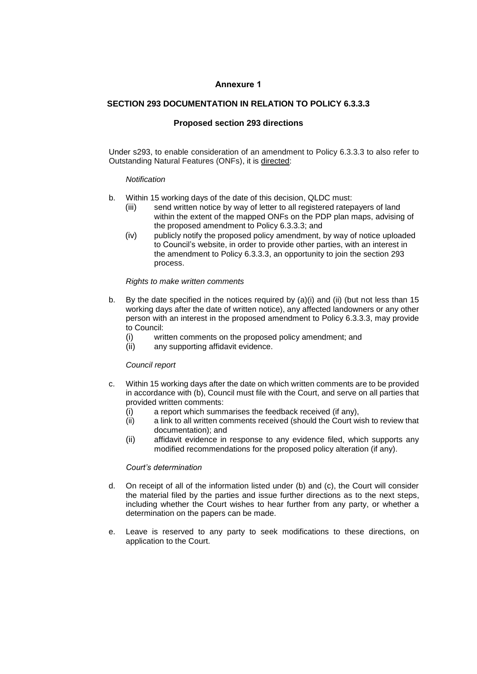#### **Annexure 1**

### **SECTION 293 DOCUMENTATION IN RELATION TO POLICY 6.3.3.3**

### **Proposed section 293 directions**

Under s293, to enable consideration of an amendment to Policy 6.3.3.3 to also refer to Outstanding Natural Features (ONFs), it is directed:

#### *Notification*

- b. Within 15 working days of the date of this decision, QLDC must:
	- (iii) send written notice by way of letter to all registered ratepayers of land within the extent of the mapped ONFs on the PDP plan maps, advising of the proposed amendment to Policy 6.3.3.3; and
	- (iv) publicly notify the proposed policy amendment, by way of notice uploaded to Council's website, in order to provide other parties, with an interest in the amendment to Policy 6.3.3.3, an opportunity to join the section 293 process.

#### *Rights to make written comments*

- b. By the date specified in the notices required by  $(a)(i)$  and  $(ii)$  (but not less than 15 working days after the date of written notice), any affected landowners or any other person with an interest in the proposed amendment to Policy 6.3.3.3, may provide to Council:
	- (i) written comments on the proposed policy amendment; and
	- (ii) any supporting affidavit evidence.

#### *Council report*

- c. Within 15 working days after the date on which written comments are to be provided in accordance with (b), Council must file with the Court, and serve on all parties that provided written comments:
	- (i) a report which summarises the feedback received (if any),
	- (ii) a link to all written comments received (should the Court wish to review that documentation); and
	- (ii) affidavit evidence in response to any evidence filed, which supports any modified recommendations for the proposed policy alteration (if any).

#### *Court's determination*

- d. On receipt of all of the information listed under (b) and (c), the Court will consider the material filed by the parties and issue further directions as to the next steps, including whether the Court wishes to hear further from any party, or whether a determination on the papers can be made.
- e. Leave is reserved to any party to seek modifications to these directions, on application to the Court.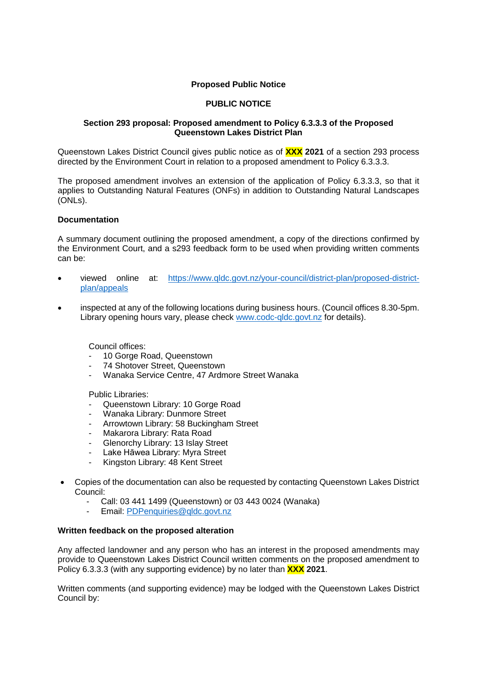# **Proposed Public Notice**

# **PUBLIC NOTICE**

# **Section 293 proposal: Proposed amendment to Policy 6.3.3.3 of the Proposed Queenstown Lakes District Plan**

Queenstown Lakes District Council gives public notice as of **XXX 2021** of a section 293 process directed by the Environment Court in relation to a proposed amendment to Policy 6.3.3.3.

The proposed amendment involves an extension of the application of Policy 6.3.3.3, so that it applies to Outstanding Natural Features (ONFs) in addition to Outstanding Natural Landscapes (ONLs).

# **Documentation**

A summary document outlining the proposed amendment, a copy of the directions confirmed by the Environment Court, and a s293 feedback form to be used when providing written comments can be:

- viewed online at: [https://www.qldc.govt.nz/your-council/district-plan/proposed-district](https://www.qldc.govt.nz/your-council/district-plan/proposed-district-plan/appeals)[plan/appeals](https://www.qldc.govt.nz/your-council/district-plan/proposed-district-plan/appeals)
- inspected at any of the following locations during business hours. (Council offices 8.30-5pm. Library opening hours vary, please check [www.codc-qldc.govt.nz](https://codc-qldc.govt.nz/) for details).

Council offices:

- 10 Gorge Road, Queenstown
- 74 Shotover Street, Queenstown
- Wanaka Service Centre, 47 Ardmore Street Wanaka

Public Libraries:

- Queenstown Library: 10 Gorge Road
- Wanaka Library: Dunmore Street
- Arrowtown Library: 58 Buckingham Street
- Makarora Library: Rata Road
- Glenorchy Library: 13 Islay Street
- Lake Hāwea Library: Myra Street
- Kingston Library: 48 Kent Street
- Copies of the documentation can also be requested by contacting Queenstown Lakes District Council:
	- Call: 03 441 1499 (Queenstown) or 03 443 0024 (Wanaka)
	- Email: [PDPenquiries@qldc.govt.nz](mailto:PDPenquiries@qldc.govt.nz)

#### **Written feedback on the proposed alteration**

Any affected landowner and any person who has an interest in the proposed amendments may provide to Queenstown Lakes District Council written comments on the proposed amendment to Policy 6.3.3.3 (with any supporting evidence) by no later than **XXX 2021**.

Written comments (and supporting evidence) may be lodged with the Queenstown Lakes District Council by: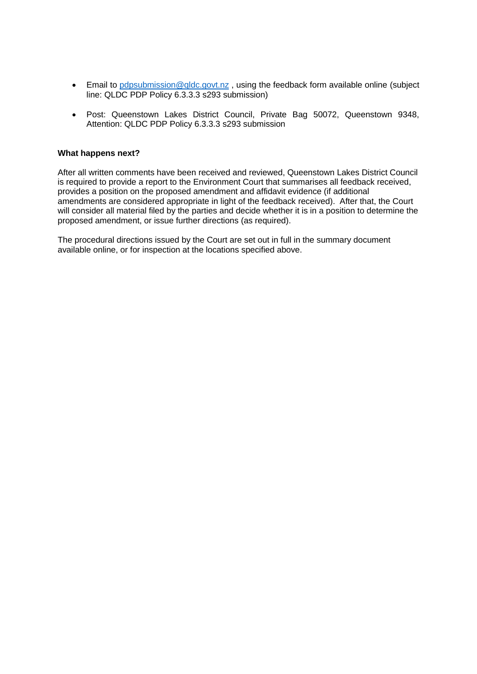- Email to pdpsubmission@gldc.govt.nz , using the feedback form available online (subject line: QLDC PDP Policy 6.3.3.3 s293 submission)
- Post: Queenstown Lakes District Council, Private Bag 50072, Queenstown 9348, Attention: QLDC PDP Policy 6.3.3.3 s293 submission

### **What happens next?**

After all written comments have been received and reviewed, Queenstown Lakes District Council is required to provide a report to the Environment Court that summarises all feedback received, provides a position on the proposed amendment and affidavit evidence (if additional amendments are considered appropriate in light of the feedback received). After that, the Court will consider all material filed by the parties and decide whether it is in a position to determine the proposed amendment, or issue further directions (as required).

The procedural directions issued by the Court are set out in full in the summary document available online, or for inspection at the locations specified above.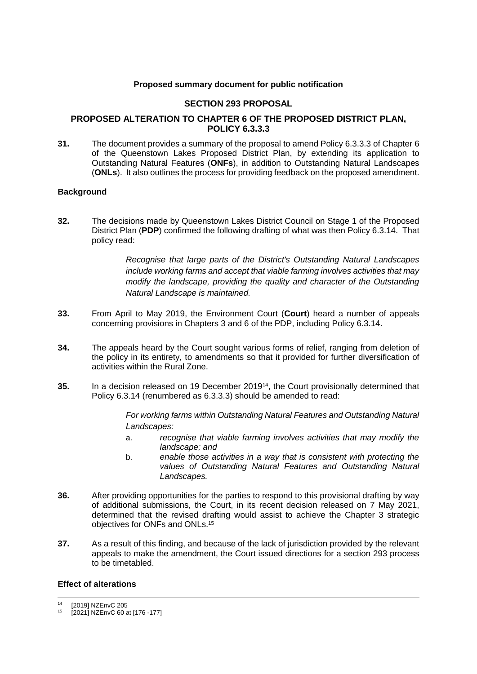### **Proposed summary document for public notification**

# **SECTION 293 PROPOSAL**

# **PROPOSED ALTERATION TO CHAPTER 6 OF THE PROPOSED DISTRICT PLAN, POLICY 6.3.3.3**

**31.** The document provides a summary of the proposal to amend Policy 6.3.3.3 of Chapter 6 of the Queenstown Lakes Proposed District Plan, by extending its application to Outstanding Natural Features (**ONFs**), in addition to Outstanding Natural Landscapes (**ONLs**). It also outlines the process for providing feedback on the proposed amendment.

# **Background**

**32.** The decisions made by Queenstown Lakes District Council on Stage 1 of the Proposed District Plan (**PDP**) confirmed the following drafting of what was then Policy 6.3.14. That policy read:

> *Recognise that large parts of the District's Outstanding Natural Landscapes include working farms and accept that viable farming involves activities that may modify the landscape, providing the quality and character of the Outstanding Natural Landscape is maintained.*

- **33.** From April to May 2019, the Environment Court (**Court**) heard a number of appeals concerning provisions in Chapters 3 and 6 of the PDP, including Policy 6.3.14.
- **34.** The appeals heard by the Court sought various forms of relief, ranging from deletion of the policy in its entirety, to amendments so that it provided for further diversification of activities within the Rural Zone.
- **35.** In a decision released on 19 December 201914, the Court provisionally determined that Policy 6.3.14 (renumbered as 6.3.3.3) should be amended to read:

*For working farms within Outstanding Natural Features and Outstanding Natural Landscapes:* 

- a. *recognise that viable farming involves activities that may modify the landscape; and*
- b. *enable those activities in a way that is consistent with protecting the values of Outstanding Natural Features and Outstanding Natural Landscapes.*
- **36.** After providing opportunities for the parties to respond to this provisional drafting by way of additional submissions, the Court, in its recent decision released on 7 May 2021, determined that the revised drafting would assist to achieve the Chapter 3 strategic objectives for ONFs and ONLs.<sup>15</sup>
- **37.** As a result of this finding, and because of the lack of jurisdiction provided by the relevant appeals to make the amendment, the Court issued directions for a section 293 process to be timetabled.

### **Effect of alterations**

<sup>14</sup> [2019] NZEnvC 205

<sup>15</sup> [2021] NZEnvC 60 at [176 -177]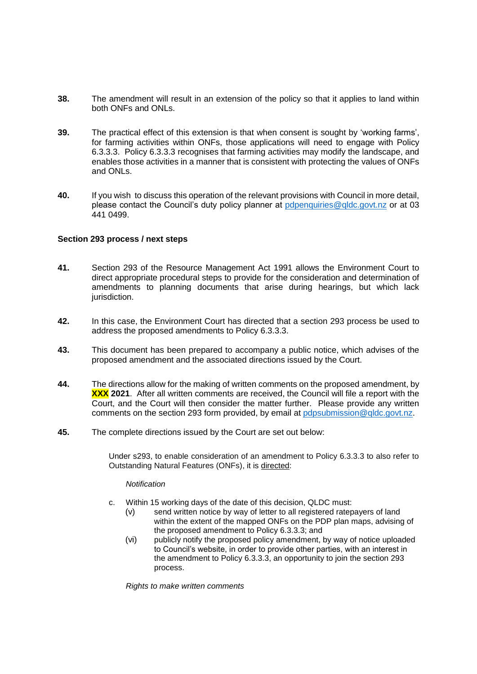- **38.** The amendment will result in an extension of the policy so that it applies to land within both ONFs and ONLs.
- **39.** The practical effect of this extension is that when consent is sought by 'working farms', for farming activities within ONFs, those applications will need to engage with Policy 6.3.3.3. Policy 6.3.3.3 recognises that farming activities may modify the landscape, and enables those activities in a manner that is consistent with protecting the values of ONFs and ONLs.
- **40.** If you wish to discuss this operation of the relevant provisions with Council in more detail, please contact the Council's duty policy planner at [pdpenquiries@qldc.govt.nz](mailto:pdpenquiries@qldc.govt.nz) or at 03 441 0499.

# **Section 293 process / next steps**

- **41.** Section 293 of the Resource Management Act 1991 allows the Environment Court to direct appropriate procedural steps to provide for the consideration and determination of amendments to planning documents that arise during hearings, but which lack jurisdiction.
- **42.** In this case, the Environment Court has directed that a section 293 process be used to address the proposed amendments to Policy 6.3.3.3.
- **43.** This document has been prepared to accompany a public notice, which advises of the proposed amendment and the associated directions issued by the Court.
- **44.** The directions allow for the making of written comments on the proposed amendment, by **XXX 2021**. After all written comments are received, the Council will file a report with the Court, and the Court will then consider the matter further. Please provide any written comments on the section 293 form provided, by email at [pdpsubmission@qldc.govt.nz.](mailto:pdpsubmission@qldc.govt.nz)
- **45.** The complete directions issued by the Court are set out below:

Under s293, to enable consideration of an amendment to Policy 6.3.3.3 to also refer to Outstanding Natural Features (ONFs), it is directed:

#### *Notification*

- c. Within 15 working days of the date of this decision, QLDC must:
	- (v) send written notice by way of letter to all registered ratepayers of land within the extent of the mapped ONFs on the PDP plan maps, advising of the proposed amendment to Policy 6.3.3.3; and
	- (vi) publicly notify the proposed policy amendment, by way of notice uploaded to Council's website, in order to provide other parties, with an interest in the amendment to Policy 6.3.3.3, an opportunity to join the section 293 process.

*Rights to make written comments*